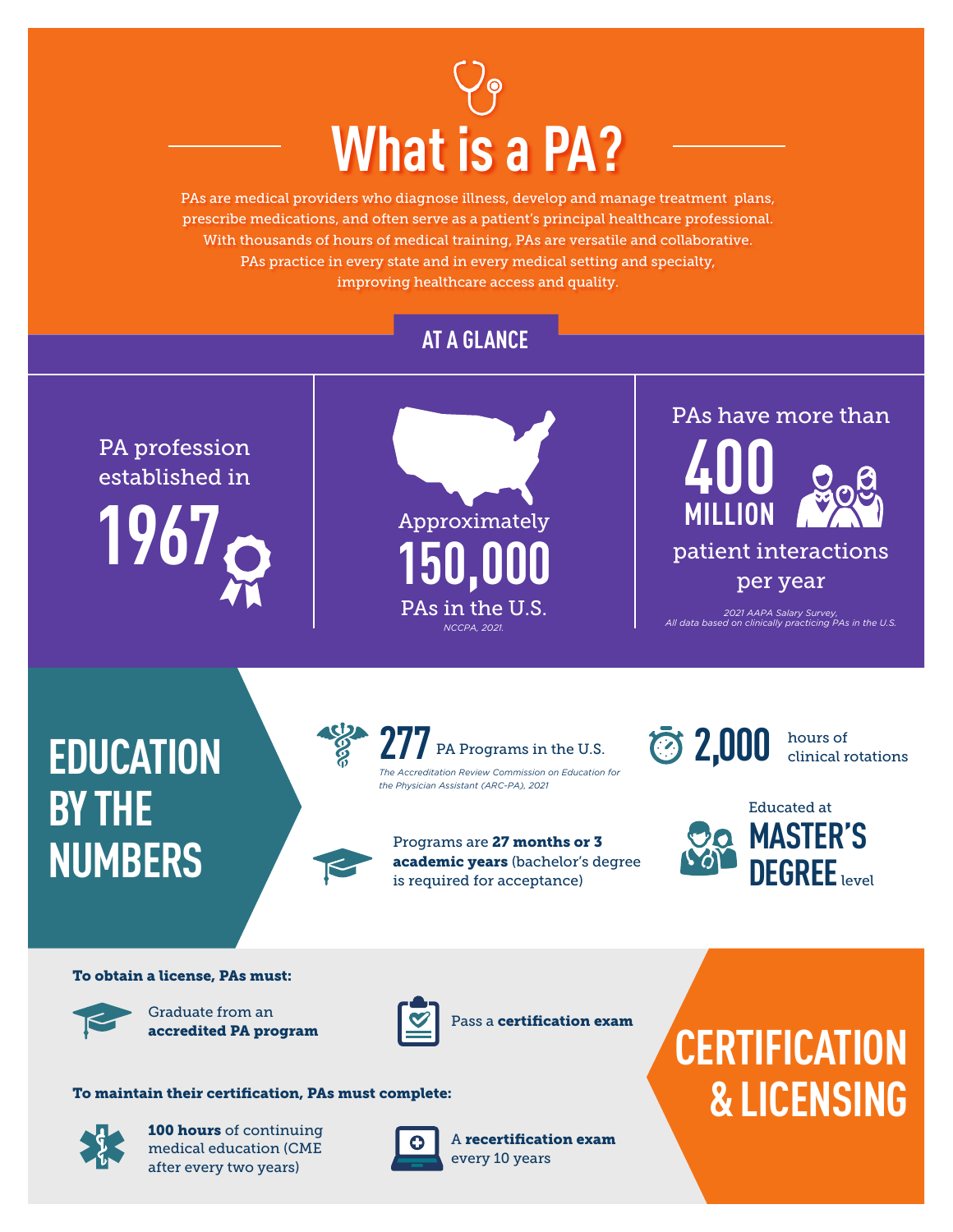

PAs are medical providers who diagnose illness, develop and manage treatment plans, prescribe medications, and often serve as a patient's principal healthcare professional. With thousands of hours of medical training, PAs are versatile and collaborative. PAs practice in every state and in every medical setting and specialty, improving healthcare access and quality.

### **AT A GLANCE**

PA profession established in





*2021 AAPA Salary Survey, All data based on clinically practicing PAs in the U.S.*

## **EDUCATION BY THE NUMBERS**



Programs are 27 months or 3 academic years (bachelor's degree is required for acceptance)



hours of clinical rotations



#### To obtain a license, PAs must:



Graduate from an accredited PA program



Pass a certification exam

#### To maintain their certification, PAs must complete:



100 hours of continuing medical education (CME after every two years)



A recertification exam every 10 years

# **CERTIFICATION & LICENSING**